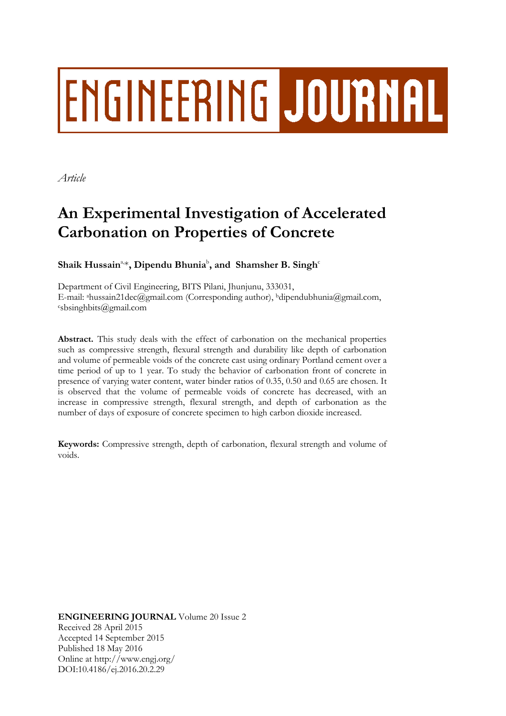# ENGINEERING JOURNAL

*Article*

# **An Experimental Investigation of Accelerated Carbonation on Properties of Concrete**

Shaik Hussain<sup>a</sup>\*, Dipendu Bhunia<sup>b</sup>, and Shamsher B. Singh<sup>c</sup>

Department of Civil Engineering, BITS Pilani, Jhunjunu, 333031, E-mail: ahussain21dec@gmail.com (Corresponding author), <sup>b</sup>dipendubhunia@gmail.com,  $\epsilon$ sbsinghbits@gmail.com

**Abstract.** This study deals with the effect of carbonation on the mechanical properties such as compressive strength, flexural strength and durability like depth of carbonation and volume of permeable voids of the concrete cast using ordinary Portland cement over a time period of up to 1 year. To study the behavior of carbonation front of concrete in presence of varying water content, water binder ratios of 0.35, 0.50 and 0.65 are chosen. It is observed that the volume of permeable voids of concrete has decreased, with an increase in compressive strength, flexural strength, and depth of carbonation as the number of days of exposure of concrete specimen to high carbon dioxide increased.

**Keywords:** Compressive strength, depth of carbonation, flexural strength and volume of voids.

**ENGINEERING JOURNAL** Volume 20 Issue 2 Received 28 April 2015 Accepted 14 September 2015 Published 18 May 2016 Online at http://www.engj.org/ DOI:10.4186/ej.2016.20.2.29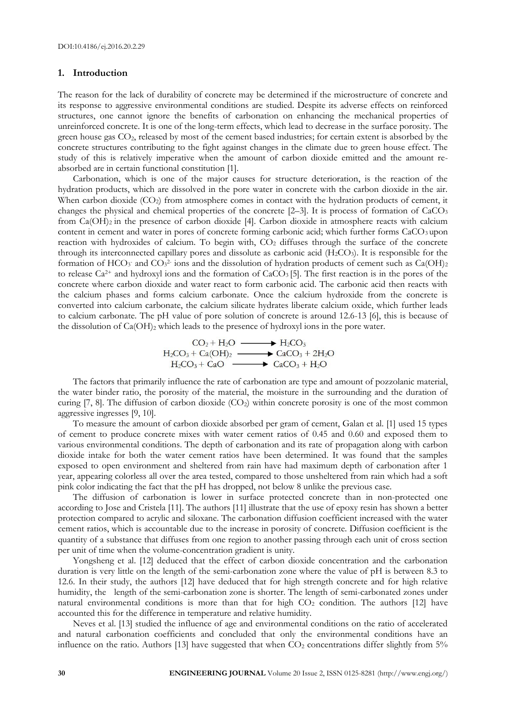#### **1. Introduction**

The reason for the lack of durability of concrete may be determined if the microstructure of concrete and its response to aggressive environmental conditions are studied. Despite its adverse effects on reinforced structures, one cannot ignore the benefits of carbonation on enhancing the mechanical properties of unreinforced concrete. It is one of the long-term effects, which lead to decrease in the surface porosity. The green house gas CO<sub>2</sub>, released by most of the cement based industries; for certain extent is absorbed by the concrete structures contributing to the fight against changes in the climate due to green house effect. The study of this is relatively imperative when the amount of carbon dioxide emitted and the amount reabsorbed are in certain functional constitution [1].

Carbonation, which is one of the major causes for structure deterioration, is the reaction of the hydration products, which are dissolved in the pore water in concrete with the carbon dioxide in the air. When carbon dioxide (CO<sub>2</sub>) from atmosphere comes in contact with the hydration products of cement, it changes the physical and chemical properties of the concrete [2–3]. It is process of formation of CaCO<sub>3</sub> from Ca(OH)<sub>2</sub> in the presence of carbon dioxide [4]. Carbon dioxide in atmosphere reacts with calcium content in cement and water in pores of concrete forming carbonic acid; which further forms  $CaCO<sub>3</sub>$  upon reaction with hydroxides of calcium. To begin with, CO<sub>2</sub> diffuses through the surface of the concrete through its interconnected capillary pores and dissolute as carbonic acid  $(H_2CO_3)$ . It is responsible for the formation of HCO<sub>3</sub> and CO<sub>3</sub><sup>2</sup> ions and the dissolution of hydration products of cement such as Ca(OH)<sub>2</sub> to release  $Ca^{2+}$  and hydroxyl ions and the formation of  $CaCO<sub>3</sub>$  [5]. The first reaction is in the pores of the concrete where carbon dioxide and water react to form carbonic acid. The carbonic acid then reacts with the calcium phases and forms calcium carbonate. Once the calcium hydroxide from the concrete is converted into calcium carbonate, the calcium silicate hydrates liberate calcium oxide, which further leads to calcium carbonate. The pH value of pore solution of concrete is around 12.6-13 [6], this is because of the dissolution of Ca(OH)<sup>2</sup> which leads to the presence of hydroxyl ions in the pore water.

$$
CO2 + H2O \longrightarrow H2CO3
$$
  
H<sub>2</sub>CO<sub>3</sub> + Ca(OH)<sub>2</sub>  $\longrightarrow$  CaCO<sub>3</sub> + 2H<sub>2</sub>O  
H<sub>2</sub>CO<sub>3</sub> + CaO  $\longrightarrow$  CaCO<sub>3</sub> + H<sub>2</sub>O

The factors that primarily influence the rate of carbonation are type and amount of pozzolanic material, the water binder ratio, the porosity of the material, the moisture in the surrounding and the duration of curing  $[7, 8]$ . The diffusion of carbon dioxide  $(CO<sub>2</sub>)$  within concrete porosity is one of the most common aggressive ingresses [9, 10].

To measure the amount of carbon dioxide absorbed per gram of cement, Galan et al. [1] used 15 types of cement to produce concrete mixes with water cement ratios of 0.45 and 0.60 and exposed them to various environmental conditions. The depth of carbonation and its rate of propagation along with carbon dioxide intake for both the water cement ratios have been determined. It was found that the samples exposed to open environment and sheltered from rain have had maximum depth of carbonation after 1 year, appearing colorless all over the area tested, compared to those unsheltered from rain which had a soft pink color indicating the fact that the pH has dropped, not below 8 unlike the previous case.

The diffusion of carbonation is lower in surface protected concrete than in non-protected one according to Jose and Cristela [11]. The authors [11] illustrate that the use of epoxy resin has shown a better protection compared to acrylic and siloxane. The carbonation diffusion coefficient increased with the water cement ratios, which is accountable due to the increase in porosity of concrete. Diffusion coefficient is the quantity of a substance that diffuses from one region to another passing through each unit of cross section per unit of time when the volume-concentration gradient is unity.

Yongsheng et al. [12] deduced that the effect of carbon dioxide concentration and the carbonation duration is very little on the length of the semi-carbonation zone where the value of pH is between 8.3 to 12.6. In their study, the authors [12] have deduced that for high strength concrete and for high relative humidity, the length of the semi-carbonation zone is shorter. The length of semi-carbonated zones under natural environmental conditions is more than that for high  $CO<sub>2</sub>$  condition. The authors [12] have accounted this for the difference in temperature and relative humidity.

Neves et al. [13] studied the influence of age and environmental conditions on the ratio of accelerated and natural carbonation coefficients and concluded that only the environmental conditions have an influence on the ratio. Authors [13] have suggested that when  $CO<sub>2</sub>$  concentrations differ slightly from  $5\%$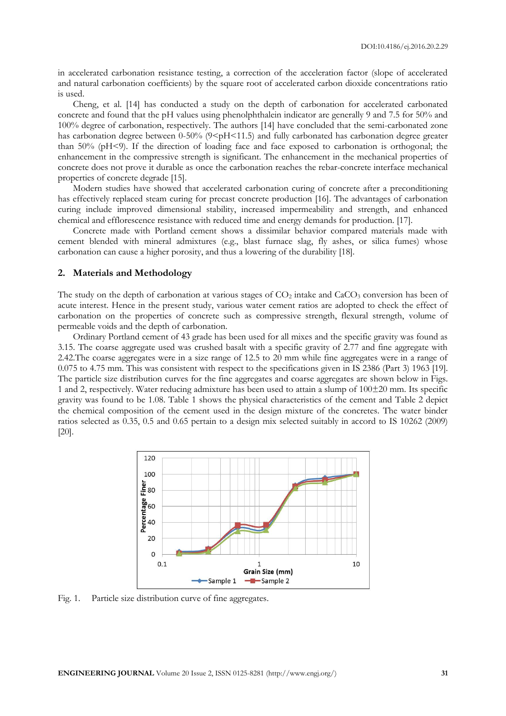in accelerated carbonation resistance testing, a correction of the acceleration factor (slope of accelerated and natural carbonation coefficients) by the square root of accelerated carbon dioxide concentrations ratio is used.

Cheng, et al. [14] has conducted a study on the depth of carbonation for accelerated carbonated concrete and found that the pH values using phenolphthalein indicator are generally 9 and 7.5 for 50% and 100% degree of carbonation, respectively. The authors [14] have concluded that the semi-carbonated zone has carbonation degree between 0-50% ( $9 \leq pH \leq 11.5$ ) and fully carbonated has carbonation degree greater than 50% (pH<9). If the direction of loading face and face exposed to carbonation is orthogonal; the enhancement in the compressive strength is significant. The enhancement in the mechanical properties of concrete does not prove it durable as once the carbonation reaches the rebar-concrete interface mechanical properties of concrete degrade [15].

Modern studies have showed that accelerated carbonation curing of concrete after a preconditioning has effectively replaced steam curing for precast concrete production [16]. The advantages of carbonation curing include improved dimensional stability, increased impermeability and strength, and enhanced chemical and efflorescence resistance with reduced time and energy demands for production. [17].

Concrete made with Portland cement shows a dissimilar behavior compared materials made with cement blended with mineral admixtures (e.g., blast furnace slag, fly ashes, or silica fumes) whose carbonation can cause a higher porosity, and thus a lowering of the durability [18].

#### **2. Materials and Methodology**

The study on the depth of carbonation at various stages of  $CO<sub>2</sub>$  intake and  $CaCO<sub>3</sub>$  conversion has been of acute interest. Hence in the present study, various water cement ratios are adopted to check the effect of carbonation on the properties of concrete such as compressive strength, flexural strength, volume of permeable voids and the depth of carbonation.

Ordinary Portland cement of 43 grade has been used for all mixes and the specific gravity was found as 3.15. The coarse aggregate used was crushed basalt with a specific gravity of 2.77 and fine aggregate with 2.42.The coarse aggregates were in a size range of 12.5 to 20 mm while fine aggregates were in a range of 0.075 to 4.75 mm. This was consistent with respect to the specifications given in IS 2386 (Part 3) 1963 [19]. The particle size distribution curves for the fine aggregates and coarse aggregates are shown below in Figs. 1 and 2, respectively. Water reducing admixture has been used to attain a slump of 100±20 mm. Its specific gravity was found to be 1.08. Table 1 shows the physical characteristics of the cement and Table 2 depict the chemical composition of the cement used in the design mixture of the concretes. The water binder ratios selected as 0.35, 0.5 and 0.65 pertain to a design mix selected suitably in accord to IS 10262 (2009) [20].



Fig. 1. Particle size distribution curve of fine aggregates.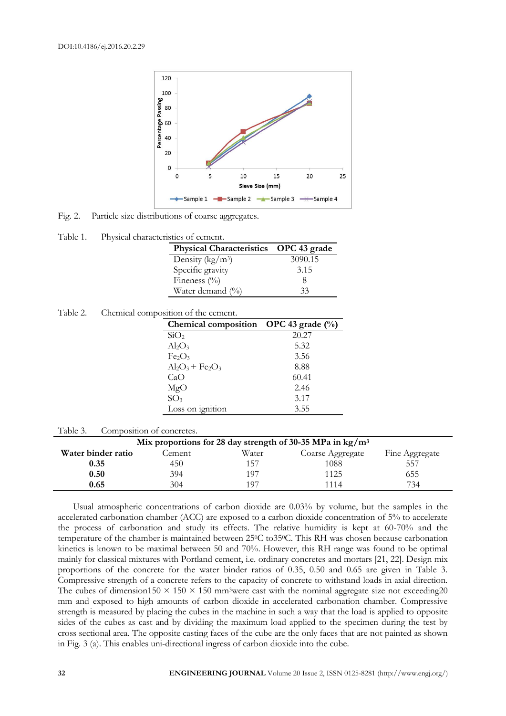

Fig. 2. Particle size distributions of coarse aggregates.

| Table 1. | Physical characteristics of cement. |  |
|----------|-------------------------------------|--|
|          |                                     |  |

| Physical Characteristics OPC 43 grade |         |  |
|---------------------------------------|---------|--|
| Density ( $\frac{kg}{m^3}$ )          | 3090.15 |  |
| Specific gravity                      | 3.15    |  |
| Fineness $(\%$                        |         |  |
| Water demand (%)                      | 33      |  |

| Table 2. |  |  | Chemical composition of the cement. |
|----------|--|--|-------------------------------------|
|----------|--|--|-------------------------------------|

| Chemical composition OPC 43 grade $(\%)$   |       |
|--------------------------------------------|-------|
| SiO <sub>2</sub>                           | 20.27 |
| $Al_2O_3$                                  | 5.32  |
| Fe <sub>2</sub> O <sub>3</sub>             | 3.56  |
| $Al_2O_3$ + Fe <sub>2</sub> O <sub>3</sub> | 8.88  |
| CaO                                        | 60.41 |
| MgO                                        | 2.46  |
| SO <sub>3</sub>                            | 3.17  |
| Loss on ignition                           | 3.55  |

#### Table 3. Composition of concretes.

| Mix proportions for 28 day strength of 30-35 MPa in $\text{kg}/\text{m}^3$ |         |       |                  |                |  |
|----------------------------------------------------------------------------|---------|-------|------------------|----------------|--|
| Water binder ratio                                                         | .`ement | Water | Coarse Aggregate | Fine Aggregate |  |
| 0.35                                                                       | 450     |       | 1088             | 557            |  |
| 0.50                                                                       | 394     | 107   | 1125             | 555            |  |
| 0.65                                                                       | 304     | 107   | 1114             | 734            |  |

Usual atmospheric concentrations of carbon dioxide are 0.03% by volume, but the samples in the accelerated carbonation chamber (ACC) are exposed to a carbon dioxide concentration of 5% to accelerate the process of carbonation and study its effects. The relative humidity is kept at 60-70% and the temperature of the chamber is maintained between 25°C to 35°C. This RH was chosen because carbonation kinetics is known to be maximal between 50 and 70%. However, this RH range was found to be optimal mainly for classical mixtures with Portland cement, i.e. ordinary concretes and mortars [21, 22]. Design mix proportions of the concrete for the water binder ratios of 0.35, 0.50 and 0.65 are given in Table 3. Compressive strength of a concrete refers to the capacity of concrete to withstand loads in axial direction. The cubes of dimension150  $\times$  150  $\times$  150 mm<sup>3</sup>were cast with the nominal aggregate size not exceeding20 mm and exposed to high amounts of carbon dioxide in accelerated carbonation chamber. Compressive strength is measured by placing the cubes in the machine in such a way that the load is applied to opposite sides of the cubes as cast and by dividing the maximum load applied to the specimen during the test by cross sectional area. The opposite casting faces of the cube are the only faces that are not painted as shown in Fig. 3 (a). This enables uni-directional ingress of carbon dioxide into the cube.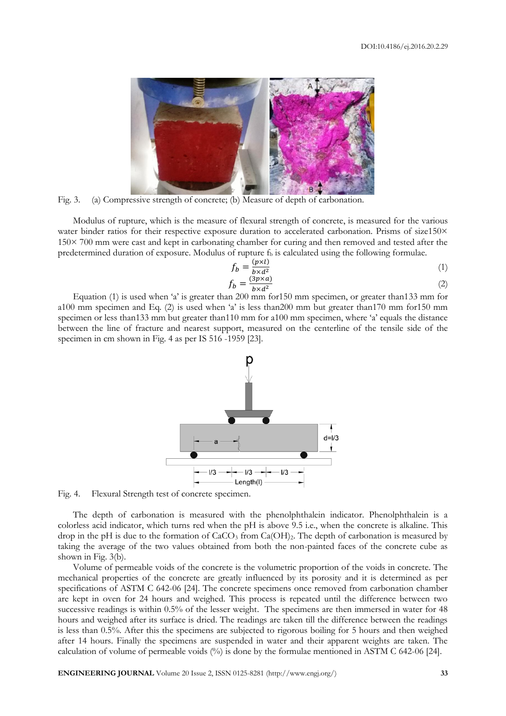

Fig. 3. (a) Compressive strength of concrete; (b) Measure of depth of carbonation.

Modulus of rupture, which is the measure of flexural strength of concrete, is measured for the various water binder ratios for their respective exposure duration to accelerated carbonation. Prisms of size150× 150× 700 mm were cast and kept in carbonating chamber for curing and then removed and tested after the predetermined duration of exposure. Modulus of rupture  $f<sub>b</sub>$  is calculated using the following formulae.

$$
f_b = \frac{(p \times l)}{b \times d^2} \tag{1}
$$

$$
f_b = \frac{(3p \times a)}{b \times d^2} \tag{2}
$$

Equation (1) is used when 'a' is greater than 200 mm for150 mm specimen, or greater than133 mm for a100 mm specimen and Eq. (2) is used when 'a' is less than200 mm but greater than170 mm for150 mm specimen or less than133 mm but greater than110 mm for a100 mm specimen, where 'a' equals the distance between the line of fracture and nearest support, measured on the centerline of the tensile side of the specimen in cm shown in Fig. 4 as per IS 516 -1959 [23].



Fig. 4. Flexural Strength test of concrete specimen.

The depth of carbonation is measured with the phenolphthalein indicator. Phenolphthalein is a colorless acid indicator, which turns red when the pH is above 9.5 i.e., when the concrete is alkaline. This drop in the pH is due to the formation of  $CaCO<sub>3</sub>$  from  $Ca(OH)<sub>2</sub>$ . The depth of carbonation is measured by taking the average of the two values obtained from both the non-painted faces of the concrete cube as shown in Fig. 3(b).

Volume of permeable voids of the concrete is the volumetric proportion of the voids in concrete. The mechanical properties of the concrete are greatly influenced by its porosity and it is determined as per specifications of ASTM C 642-06 [24]. The concrete specimens once removed from carbonation chamber are kept in oven for 24 hours and weighed. This process is repeated until the difference between two successive readings is within 0.5% of the lesser weight. The specimens are then immersed in water for 48 hours and weighed after its surface is dried. The readings are taken till the difference between the readings is less than 0.5%. After this the specimens are subjected to rigorous boiling for 5 hours and then weighed after 14 hours. Finally the specimens are suspended in water and their apparent weights are taken. The calculation of volume of permeable voids (%) is done by the formulae mentioned in ASTM C 642-06 [24].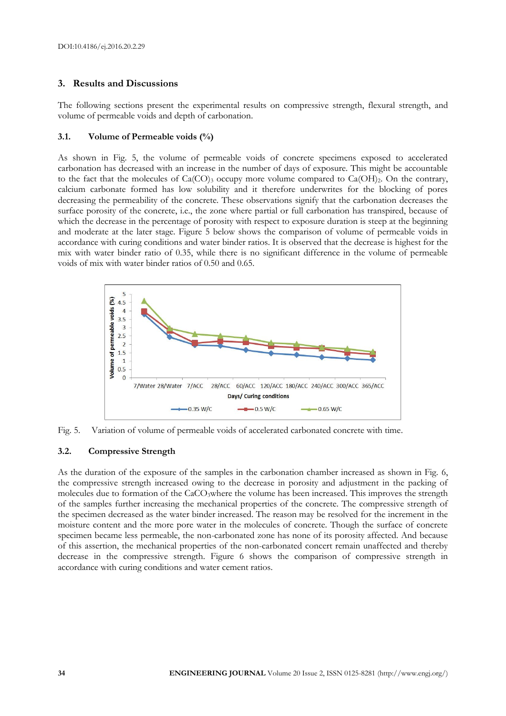# **3. Results and Discussions**

The following sections present the experimental results on compressive strength, flexural strength, and volume of permeable voids and depth of carbonation.

# **3.1. Volume of Permeable voids (%)**

As shown in Fig. 5, the volume of permeable voids of concrete specimens exposed to accelerated carbonation has decreased with an increase in the number of days of exposure. This might be accountable to the fact that the molecules of  $Ca(CO)_3$  occupy more volume compared to  $Ca(OH)_2$ . On the contrary, calcium carbonate formed has low solubility and it therefore underwrites for the blocking of pores decreasing the permeability of the concrete. These observations signify that the carbonation decreases the surface porosity of the concrete, i.e., the zone where partial or full carbonation has transpired, because of which the decrease in the percentage of porosity with respect to exposure duration is steep at the beginning and moderate at the later stage. Figure 5 below shows the comparison of volume of permeable voids in accordance with curing conditions and water binder ratios. It is observed that the decrease is highest for the mix with water binder ratio of 0.35, while there is no significant difference in the volume of permeable voids of mix with water binder ratios of 0.50 and 0.65.



Fig. 5. Variation of volume of permeable voids of accelerated carbonated concrete with time.

# **3.2. Compressive Strength**

As the duration of the exposure of the samples in the carbonation chamber increased as shown in Fig. 6, the compressive strength increased owing to the decrease in porosity and adjustment in the packing of molecules due to formation of the CaCO<sub>3</sub>where the volume has been increased. This improves the strength of the samples further increasing the mechanical properties of the concrete. The compressive strength of the specimen decreased as the water binder increased. The reason may be resolved for the increment in the moisture content and the more pore water in the molecules of concrete. Though the surface of concrete specimen became less permeable, the non-carbonated zone has none of its porosity affected. And because of this assertion, the mechanical properties of the non-carbonated concert remain unaffected and thereby decrease in the compressive strength. Figure 6 shows the comparison of compressive strength in accordance with curing conditions and water cement ratios.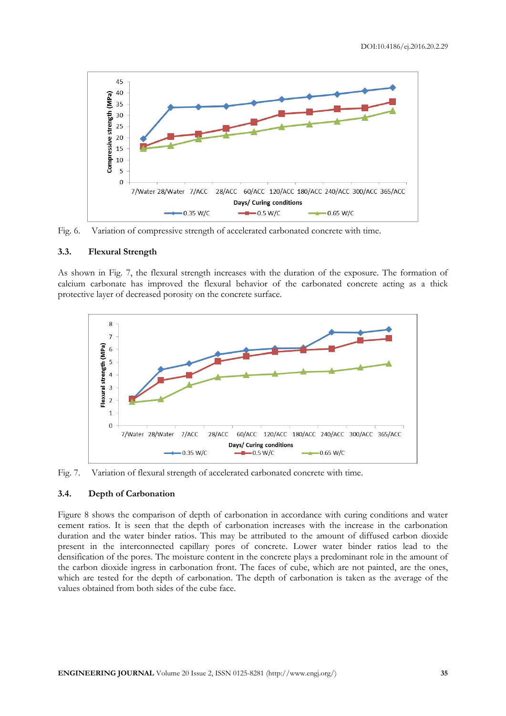

Fig. 6. Variation of compressive strength of accelerated carbonated concrete with time.

### **3.3. Flexural Strength**

As shown in Fig. 7, the flexural strength increases with the duration of the exposure. The formation of calcium carbonate has improved the flexural behavior of the carbonated concrete acting as a thick protective layer of decreased porosity on the concrete surface.



Fig. 7. Variation of flexural strength of accelerated carbonated concrete with time.

# **3.4. Depth of Carbonation**

Figure 8 shows the comparison of depth of carbonation in accordance with curing conditions and water cement ratios. It is seen that the depth of carbonation increases with the increase in the carbonation duration and the water binder ratios. This may be attributed to the amount of diffused carbon dioxide present in the interconnected capillary pores of concrete. Lower water binder ratios lead to the densification of the pores. The moisture content in the concrete plays a predominant role in the amount of the carbon dioxide ingress in carbonation front. The faces of cube, which are not painted, are the ones, which are tested for the depth of carbonation. The depth of carbonation is taken as the average of the values obtained from both sides of the cube face.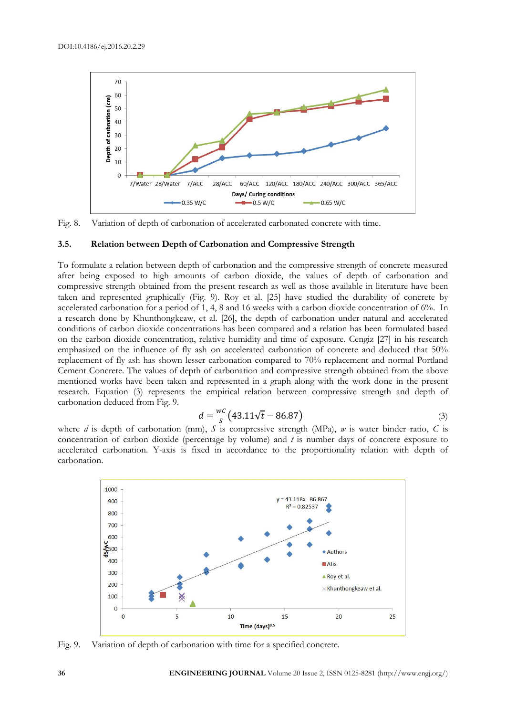

Fig. 8. Variation of depth of carbonation of accelerated carbonated concrete with time.

#### **3.5. Relation between Depth of Carbonation and Compressive Strength**

To formulate a relation between depth of carbonation and the compressive strength of concrete measured after being exposed to high amounts of carbon dioxide, the values of depth of carbonation and compressive strength obtained from the present research as well as those available in literature have been taken and represented graphically (Fig. 9). Roy et al. [25] have studied the durability of concrete by accelerated carbonation for a period of 1, 4, 8 and 16 weeks with a carbon dioxide concentration of 6%. In a research done by Khunthongkeaw, et al. [26], the depth of carbonation under natural and accelerated conditions of carbon dioxide concentrations has been compared and a relation has been formulated based on the carbon dioxide concentration, relative humidity and time of exposure. Cengiz [27] in his research emphasized on the influence of fly ash on accelerated carbonation of concrete and deduced that 50% replacement of fly ash has shown lesser carbonation compared to 70% replacement and normal Portland Cement Concrete. The values of depth of carbonation and compressive strength obtained from the above mentioned works have been taken and represented in a graph along with the work done in the present research. Equation (3) represents the empirical relation between compressive strength and depth of carbonation deduced from Fig. 9.

$$
d = \frac{wc}{s} \left( 43.11 \sqrt{t} - 86.87 \right) \tag{3}
$$

where *d* is depth of carbonation (mm), *S* is compressive strength (MPa), *w* is water binder ratio, *C* is concentration of carbon dioxide (percentage by volume) and *t* is number days of concrete exposure to accelerated carbonation. Y-axis is fixed in accordance to the proportionality relation with depth of carbonation.



Fig. 9. Variation of depth of carbonation with time for a specified concrete.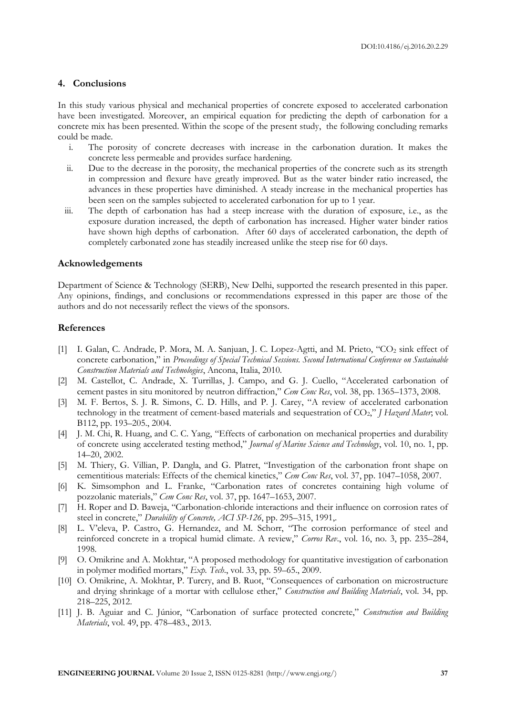#### **4. Conclusions**

In this study various physical and mechanical properties of concrete exposed to accelerated carbonation have been investigated. Moreover, an empirical equation for predicting the depth of carbonation for a concrete mix has been presented. Within the scope of the present study, the following concluding remarks could be made.

- i. The porosity of concrete decreases with increase in the carbonation duration. It makes the concrete less permeable and provides surface hardening.
- ii. Due to the decrease in the porosity, the mechanical properties of the concrete such as its strength in compression and flexure have greatly improved. But as the water binder ratio increased, the advances in these properties have diminished. A steady increase in the mechanical properties has been seen on the samples subjected to accelerated carbonation for up to 1 year.
- iii. The depth of carbonation has had a steep increase with the duration of exposure, i.e., as the exposure duration increased, the depth of carbonation has increased. Higher water binder ratios have shown high depths of carbonation. After 60 days of accelerated carbonation, the depth of completely carbonated zone has steadily increased unlike the steep rise for 60 days.

# **Acknowledgements**

Department of Science & Technology (SERB), New Delhi, supported the research presented in this paper. Any opinions, findings, and conclusions or recommendations expressed in this paper are those of the authors and do not necessarily reflect the views of the sponsors.

#### **References**

- [1] I. Galan, C. Andrade, P. Mora, M. A. Sanjuan, J. C. Lopez-Agtti, and M. Prieto, "CO<sup>2</sup> sink effect of concrete carbonation," in *Proceedings of Special Technical Sessions. Second International Conference on Sustainable Construction Materials and Technologies*, Ancona, Italia, 2010.
- [2] M. Castellot, C. Andrade, X. Turrillas, J. Campo, and G. J. Cuello, "Accelerated carbonation of cement pastes in situ monitored by neutron diffraction," *Cem Conc Res*, vol. 38, pp. 1365–1373, 2008.
- [3] M. F. Bertos, S. J. R. Simons, C. D. Hills, and P. J. Carey, "A review of accelerated carbonation technology in the treatment of cement-based materials and sequestration of CO2," *J Hazard Mater*; vol. B112, pp. 193–205., 2004.
- [4] J. M. Chi, R. Huang, and C. C. Yang, "Effects of carbonation on mechanical properties and durability of concrete using accelerated testing method," *Journal of Marine Science and Technology*, vol. 10, no. 1, pp. 14–20, 2002.
- [5] M. Thiery, G. Villian, P. Dangla, and G. Platret, "Investigation of the carbonation front shape on cementitious materials: Effects of the chemical kinetics," *Cem Conc Res*, vol. 37, pp. 1047–1058, 2007.
- [6] K. Simsomphon and L. Franke, "Carbonation rates of concretes containing high volume of pozzolanic materials," *Cem Conc Res*, vol. 37, pp. 1647–1653, 2007.
- [7] H. Roper and D. Baweja, "Carbonation-chloride interactions and their influence on corrosion rates of steel in concrete," *Durability of Concrete, ACI SP-126*, pp. 295–315, 1991,.
- [8] L. V'eleva, P. Castro, G. Hernandez, and M. Schorr, "The corrosion performance of steel and reinforced concrete in a tropical humid climate. A review," *Corros Rev*., vol. 16, no. 3, pp. 235–284, 1998.
- [9] O. Omikrine and A. Mokhtar, "A proposed methodology for quantitative investigation of carbonation in polymer modified mortars," *Exp. Tech*., vol. 33, pp. 59–65., 2009.
- [10] O. Omikrine, A. Mokhtar, P. Turcry, and B. Ruot, "Consequences of carbonation on microstructure and drying shrinkage of a mortar with cellulose ether," *Construction and Building Materials*, vol. 34, pp. 218–225, 2012.
- [11] J. B. Aguiar and C. Júnior, "Carbonation of surface protected concrete," *Construction and Building Materials*, vol. 49, pp. 478–483., 2013.